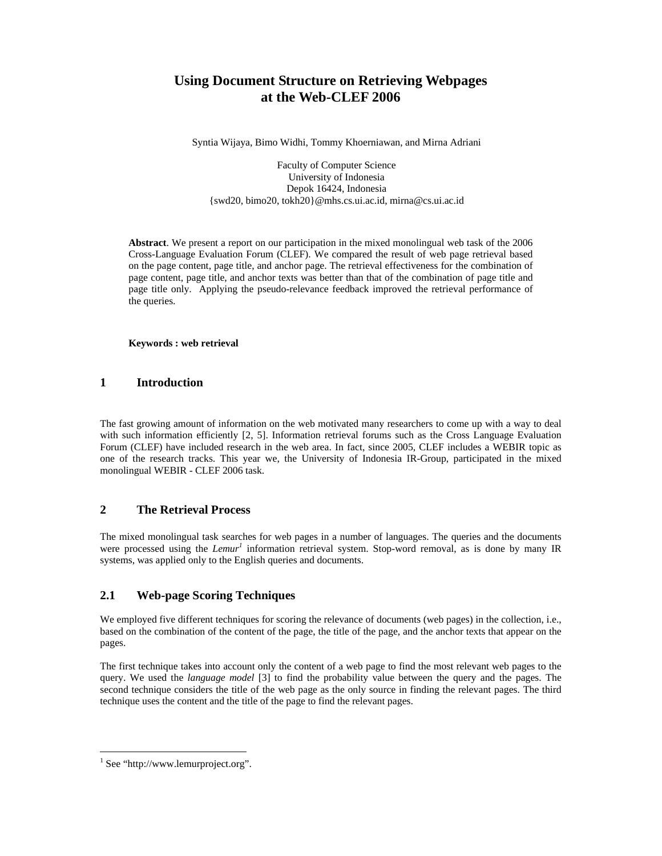# **Using Document Structure on Retrieving Webpages at the Web-CLEF 2006**

Syntia Wijaya, Bimo Widhi, Tommy Khoerniawan, and Mirna Adriani

Faculty of Computer Science University of Indonesia Depok 16424, Indonesia {swd20, bimo20, tokh20}@mhs.cs.ui.ac.id, mirna@cs.ui.ac.id

**Abstract**. We present a report on our participation in the mixed monolingual web task of the 2006 Cross-Language Evaluation Forum (CLEF). We compared the result of web page retrieval based on the page content, page title, and anchor page. The retrieval effectiveness for the combination of page content, page title, and anchor texts was better than that of the combination of page title and page title only. Applying the pseudo-relevance feedback improved the retrieval performance of the queries.

#### **Keywords : web retrieval**

### **1 Introduction**

The fast growing amount of information on the web motivated many researchers to come up with a way to deal with such information efficiently [2, 5]. Information retrieval forums such as the Cross Language Evaluation Forum (CLEF) have included research in the web area. In fact, since 2005, CLEF includes a WEBIR topic as one of the research tracks. This year we, the University of Indonesia IR-Group, participated in the mixed monolingual WEBIR - CLEF 2006 task.

#### **2 The Retrieval Process**

The mixed monolingual task searches for web pages in a number of languages. The queries and the documents were processed using the *Lemur<sup>1</sup>* information retrieval system. Stop-word removal, as is done by many IR systems, was applied only to the English queries and documents.

### **2.1 Web-page Scoring Techniques**

We employed five different techniques for scoring the relevance of documents (web pages) in the collection, i.e., based on the combination of the content of the page, the title of the page, and the anchor texts that appear on the pages.

The first technique takes into account only the content of a web page to find the most relevant web pages to the query. We used the *language model* [3] to find the probability value between the query and the pages. The second technique considers the title of the web page as the only source in finding the relevant pages. The third technique uses the content and the title of the page to find the relevant pages.

-

<sup>&</sup>lt;sup>1</sup> See "http://www.lemurproject.org".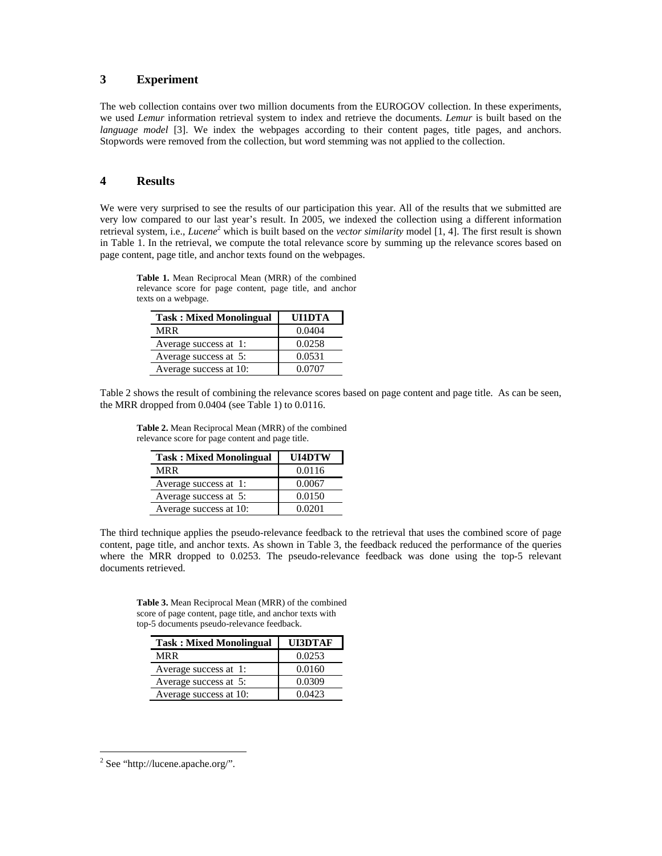## **3 Experiment**

The web collection contains over two million documents from the EUROGOV collection. In these experiments, we used *Lemur* information retrieval system to index and retrieve the documents. *Lemur* is built based on the *language model* [3]. We index the webpages according to their content pages, title pages, and anchors. Stopwords were removed from the collection, but word stemming was not applied to the collection.

#### **4 Results**

We were very surprised to see the results of our participation this year. All of the results that we submitted are very low compared to our last year's result. In 2005, we indexed the collection using a different information retrieval system, i.e., *Lucene*<sup>2</sup> which is built based on the *vector similarity* model [1, 4]. The first result is shown in Table 1. In the retrieval, we compute the total relevance score by summing up the relevance scores based on page content, page title, and anchor texts found on the webpages.

**Table 1.** Mean Reciprocal Mean (MRR) of the combined relevance score for page content, page title, and anchor texts on a webpage.

| <b>Task: Mixed Monolingual</b> | UI1DTA |
|--------------------------------|--------|
| MR R                           | 0.0404 |
| Average success at 1:          | 0.0258 |
| Average success at 5:          | 0.0531 |
| Average success at 10:         | 0.0707 |

Table 2 shows the result of combining the relevance scores based on page content and page title. As can be seen, the MRR dropped from 0.0404 (see Table 1) to 0.0116.

**Table 2.** Mean Reciprocal Mean (MRR) of the combined relevance score for page content and page title.

| <b>Task: Mixed Monolingual</b> | UI4DTW |
|--------------------------------|--------|
| MRR                            | 0.0116 |
| Average success at 1:          | 0.0067 |
| Average success at 5:          | 0.0150 |
| Average success at 10:         | 0.0201 |

The third technique applies the pseudo-relevance feedback to the retrieval that uses the combined score of page content, page title, and anchor texts. As shown in Table 3, the feedback reduced the performance of the queries where the MRR dropped to 0.0253. The pseudo-relevance feedback was done using the top-5 relevant documents retrieved.

**Table 3.** Mean Reciprocal Mean (MRR) of the combined score of page content, page title, and anchor texts with top-5 documents pseudo-relevance feedback.

| <b>Task: Mixed Monolingual</b> | UI3DTAF |
|--------------------------------|---------|
| MRR                            | 0.0253  |
| Average success at 1:          | 0.0160  |
| Average success at 5:          | 0.0309  |
| Average success at 10:         | 0.0423  |

-

<sup>&</sup>lt;sup>2</sup> See "http://lucene.apache.org/".